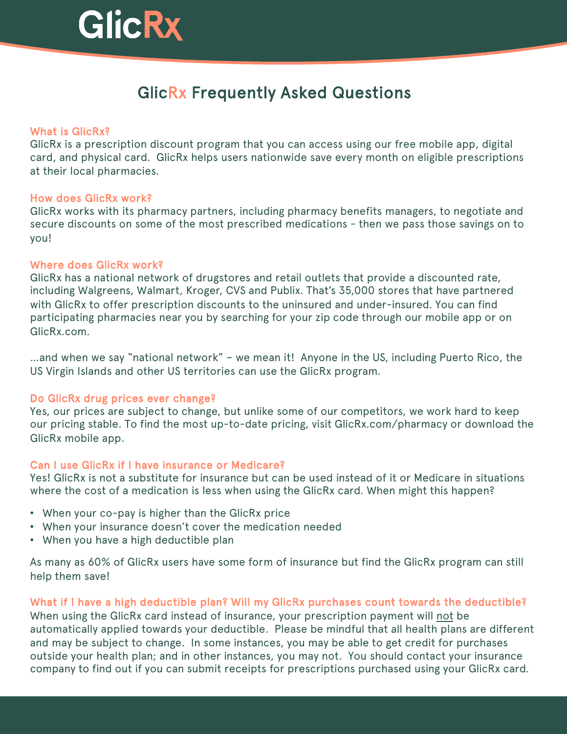# GlicRx

# GlicRx Frequently Asked Questions

# What is GlicRx?

GlicRx is a prescription discount program that you can access using our free mobile app, digital card, and physical card. GlicRx helps users nationwide save every month on eligible prescriptions at their local pharmacies.

# How does GlicRx work?

GlicRx works with its pharmacy partners, including pharmacy benefits managers, to negotiate and secure discounts on some of the most prescribed medications - then we pass those savings on to you!

# Where does GlicRx work?

GlicRx has a national network of drugstores and retail outlets that provide a discounted rate, including Walgreens, Walmart, Kroger, CVS and Publix. That's 35,000 stores that have partnered with GlicRx to offer prescription discounts to the uninsured and under-insured. You can find participating pharmacies near you by searching for your zip code through our mobile app or on GlicRx.com.

…and when we say "national network" – we mean it! Anyone in the US, including Puerto Rico, the US Virgin Islands and other US territories can use the GlicRx program.

# Do GlicRx drug prices ever change?

Yes, our prices are subject to change, but unlike some of our competitors, we work hard to keep our pricing stable. To find the most up-to-date pricing, visit GlicRx.com/pharmacy or download the GlicRx mobile app.

# Can I use GlicRx if I have insurance or Medicare?

Yes! GlicRx is not a substitute for insurance but can be used instead of it or Medicare in situations where the cost of a medication is less when using the GlicRx card. When might this happen?

- When your co-pay is higher than the GlicRx price
- When your insurance doesn't cover the medication needed
- When you have a high deductible plan

As many as 60% of GlicRx users have some form of insurance but find the GlicRx program can still help them save!

What if I have a high deductible plan? Will my GlicRx purchases count towards the deductible? When using the GlicRx card instead of insurance, your prescription payment will not be automatically applied towards your deductible. Please be mindful that all health plans are different and may be subject to change. In some instances, you may be able to get credit for purchases

outside your health plan; and in other instances, you may not. You should contact your insurance company to find out if you can submit receipts for prescriptions purchased using your GlicRx card.